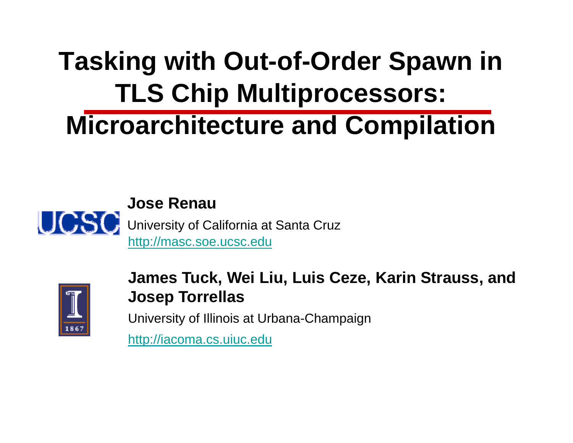#### **Tasking with Out --of-Order Spawn in TLS Chip Multiprocessors: Microarchitecture and Compilation**





James Tuck, Wei Liu, Luis Ceze, Karin Strauss, and **Josep Torrellas**

University of Illinois at Urba na-Champaign

http://iacoma.cs.uiuc.edu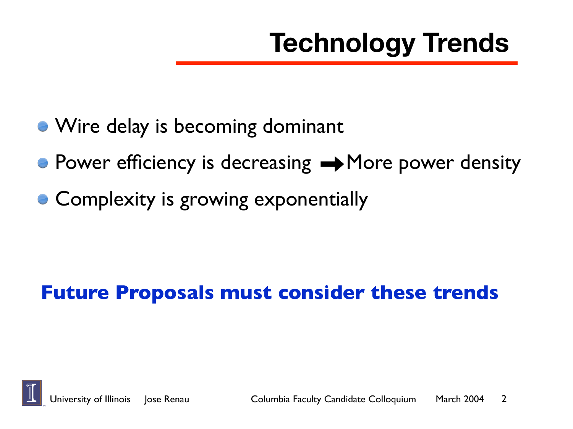- Wire delay is becoming dominant
- $\bullet$  Power efficiency is decreasing  $\rightarrow$  More power density
- Complexity is growing exponentially

#### **Future Proposals must consider these trends**

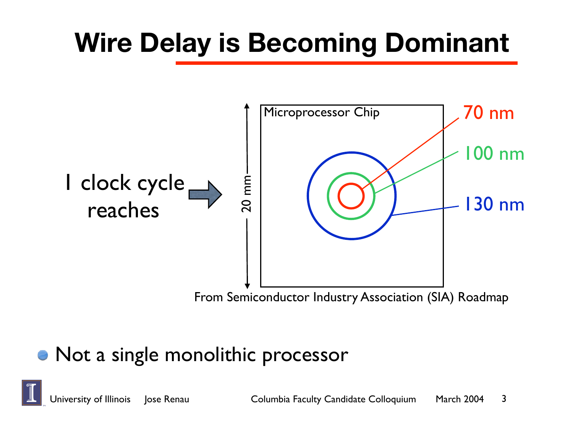#### **Wire Delay is Becoming Dominant**



#### Not a single monolithic processor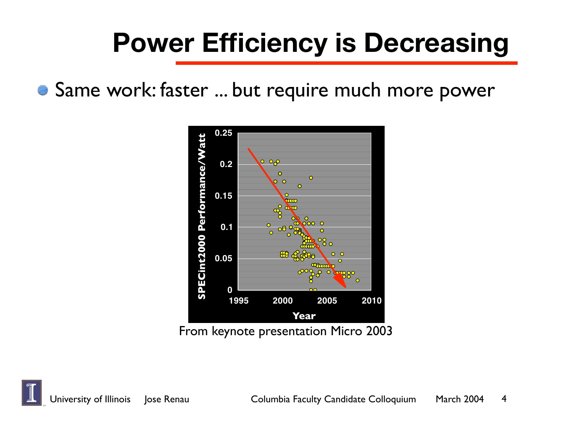#### **Power Efficiency is Decreasing**

Same work: faster ... but require much more power

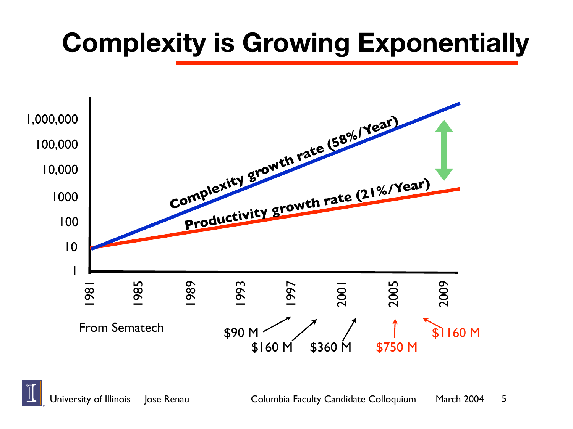#### **Complexity is Growing Exponentially**

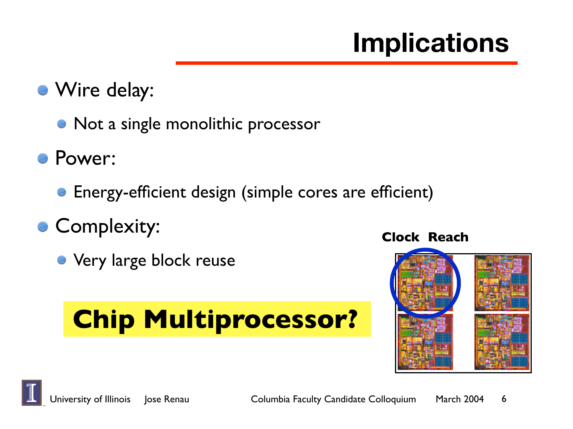#### **Implications**

- Wire delay:
	- Not a single monolithic processor
- Power:
	- Energy-efficient design (simple cores are efficient)
- **Complexity:** 
	- **Very large block reuse**

#### **Chip Multiprocessor?**

#### **Clock Reach**

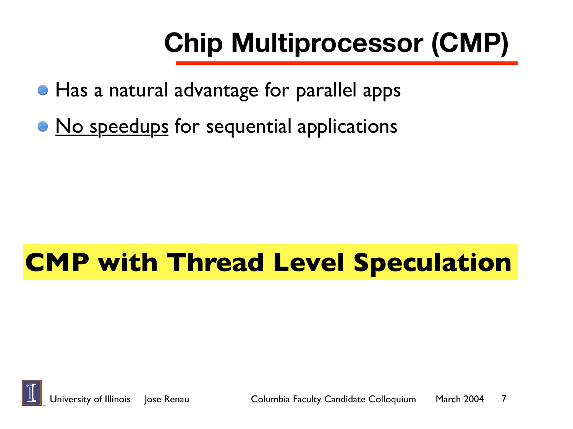# **Chip Multiprocessor (CMP)**

- Has a natural advantage for parallel apps
- No speedups for sequential applications

#### **CMP with Thread Level Speculation**

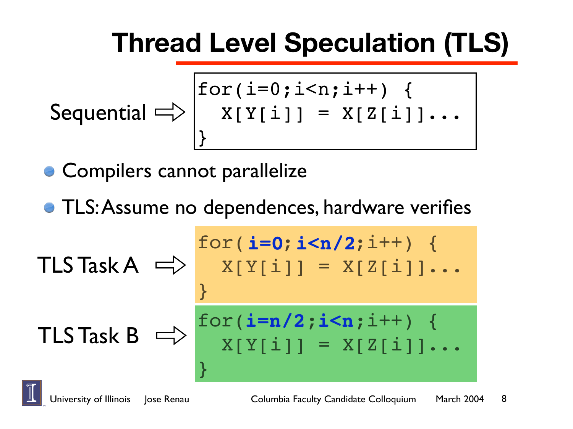#### **Thread Level Speculation (TLS)**

$$
\text{Sequential} \Longrightarrow \begin{cases} \text{for}(i=0; i < n; i++) & \{ \\ x[Y[i]] = x[Z[i]] \dots \\ \} \end{cases}
$$

Compilers cannot parallelize

**• TLS: Assume no dependences, hardware verifies** 

$$
\begin{array}{rcl}\n\text{for}(i=0; i < n/2; i++) < \\
\text{X[Y[i]]} &= X[Z[i]].\n \end{array}
$$
\n
$$
\begin{array}{rcl}\n\text{The image shows a linear variable } \\
\text{The image shows a linear variable } \\
\text{The image shows a linear variable } \\
\text{The image shows a linear variable } \\
\text{The image shows a linear variable } \\
\text{The image shows a linear variable } \\
\text{The image shows a linear variable } \\
\text{The image shows a linear variable } \\
\text{The image shows a linear variable } \\
\text{The image shows a linear variable } \\
\text{The image shows a linear variable } \\
\text{The image shows a linear variable } \\
\text{The image shows a linear variable } \\
\text{The image shows a linear variable } \\
\text{The image shows a linear variable } \\
\text{The image shows a linear variable } \\
\text{The image shows a linear variable } \\
\text{The image shows a linear variable } \\
\text{The image shows a linear variable } \\
\text{The image shows a linear variable } \\
\text{The image shows a linear variable } \\
\text{The image shows a linear variable } \\
\text{The image shows a linear variable } \\
\text{The image shows a linear variable } \\
\text{The image shows a linear variable } \\
\text{The image shows a linear variable } \\
\text{The image shows a linear variable } \\
\text{The image shows a linear variable } \\
\text{The image shows a linear variable } \\
\text{The image shows a linear variable } \\
\text{The image shows a linear variable } \\
\text{The image shows a linear variable } \\
\text{The image shows a linear variable } \\
\text{The image shows a linear variable } \\
\text{The image shows a linear variable } \\
\text{The image shows a linear variable } \\
\text{The image shows a linear variable } \\
\text{The image shows a linear variable } \\
\text{The image shows a linear variable } \\
\text{The image shows a linear variable } \\
\text{The image shows a linear variable } \\
\text{The image shows a linear variable } \\
\text{The image shows a linear variable } \\
\text{The image shows a linear variable } \\
\text{The image shows a linear variable } \\
\text{The image shows a linear variable } \\
\text{The image shows a linear variable } \\
\text{The image shows a linear variable } \\
\text{The image shows a linear variable } \\
\text{The image shows a linear variable } \\
\text{The image shows a linear variable } \\
\text{The image shows a linear variable } \\
\text{The image shows a linear variable } \\
\text{The image shows a linear variable } \\
\text{The image shows a linear variable } \\
\text{The image shows a linear variable } \\
\text{The image shows a linear variable } \\
\text{The image shows a linear variable } \\
\text{The image shows a linear variable } \\
\text{The image shows a linear variable } \\
\text{The image shows a linear variable } \\
\text{The image shows a linear variable } \\
\text{The image shows a linear
$$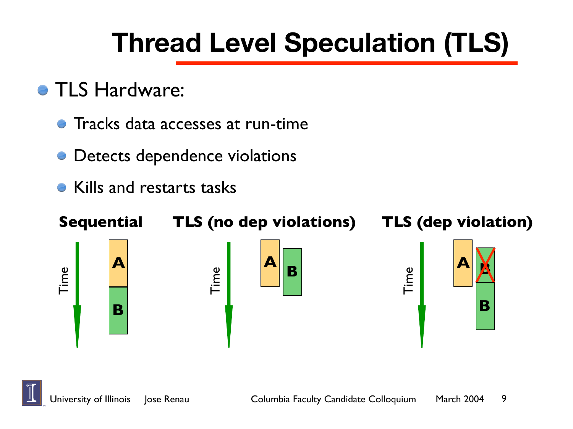#### **Thread Level Speculation (TLS)**

- **TLS Hardware:** 
	- Tracks data accesses at run-time
	- Detects dependence violations
	- Kills and restarts tasks



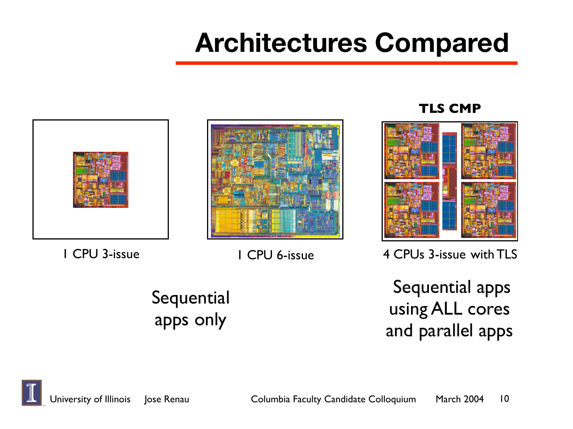#### **Architectures Compared**





#### **TLS CMP**



1 CPU 3-issue

1 CPU 6-issue 4 CPUs 3-issue with TLS

**Sequential** apps only

 Sequential apps using ALL cores and parallel apps

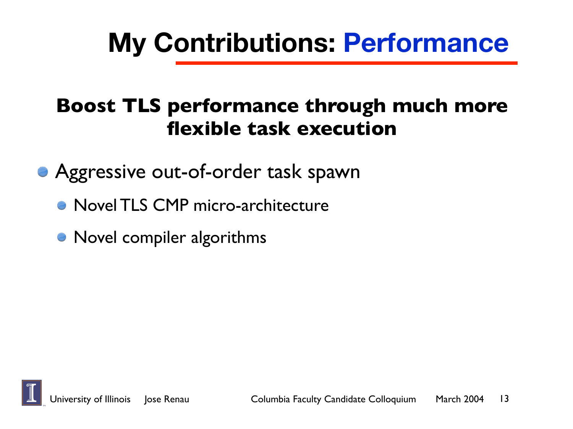#### **My Contributions: Performance**

#### **Boost TLS performance through much more flexible task execution**

**• Aggressive out-of-order task spawn** 

- **Novel TLS CMP micro-architecture**
- Novel compiler algorithms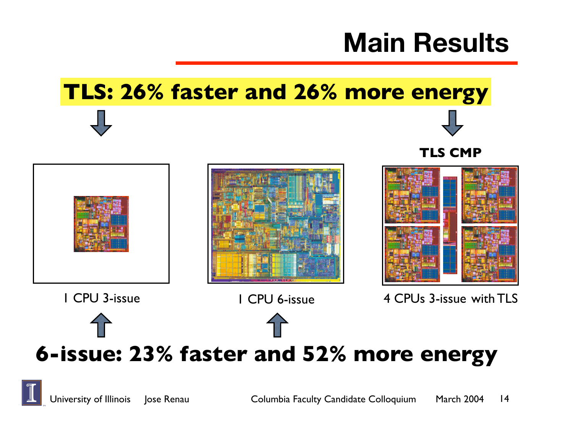#### **Main Results**

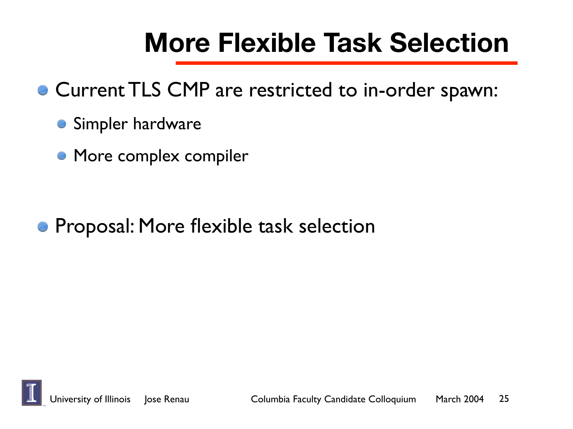#### **More Flexible Task Selection**

- Current TLS CMP are restricted to in-order spawn:
	- **Simpler hardware**
	- **More complex compiler**

**• Proposal: More flexible task selection** 

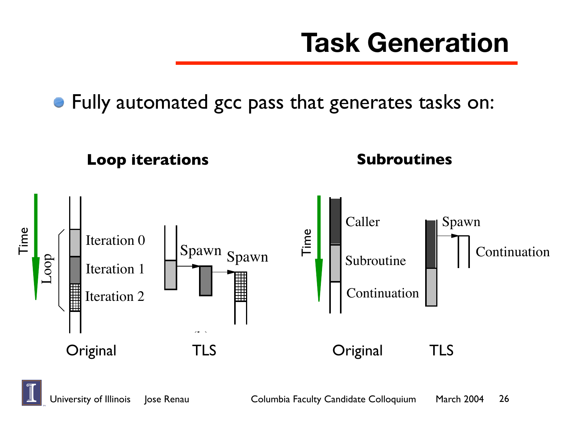#### **Task Generation**

Fully automated gcc pass that generates tasks on:



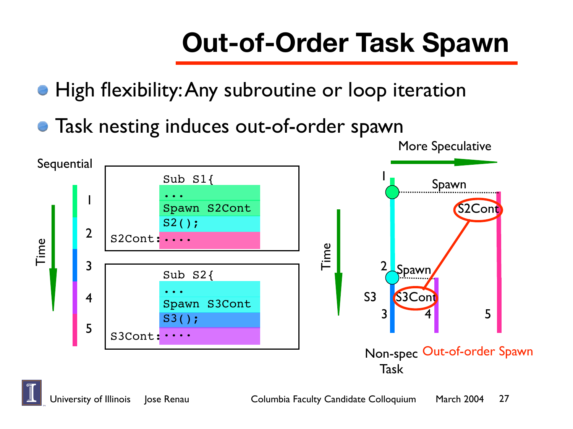# **Out-of-Order Task Spawn**

- High flexibility:Any subroutine or loop iteration
- Task nesting induces out-of-order spawn

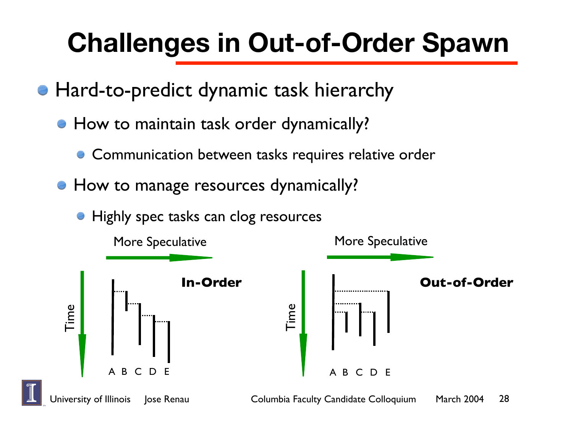### **Challenges in Out-of-Order Spawn**

- Hard-to-predict dynamic task hierarchy
	- **How to maintain task order dynamically?** 
		- **Communication between tasks requires relative order**
	- **How to manage resources dynamically?** 
		- Highly spec tasks can clog resources

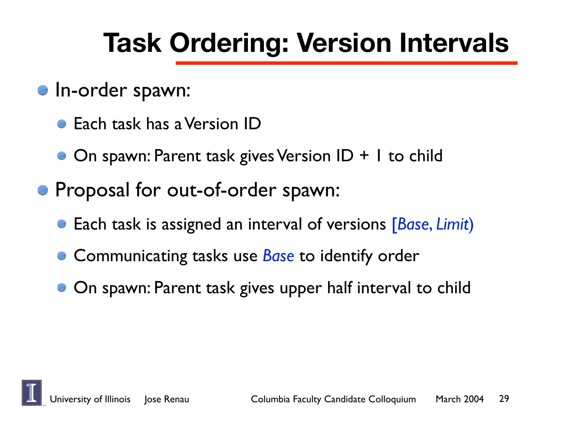#### **Task Ordering: Version Intervals**

- **In-order spawn:** 
	- **Each task has a Version ID**
	- On spawn: Parent task gives Version ID + 1 to child
- **Proposal for out-of-order spawn:** 
	- Each task is assigned an interval of versions [*Base*, *Limit*)
	- **Communicating tasks use** *Base* to identify order
	- **On spawn: Parent task gives upper half interval to child**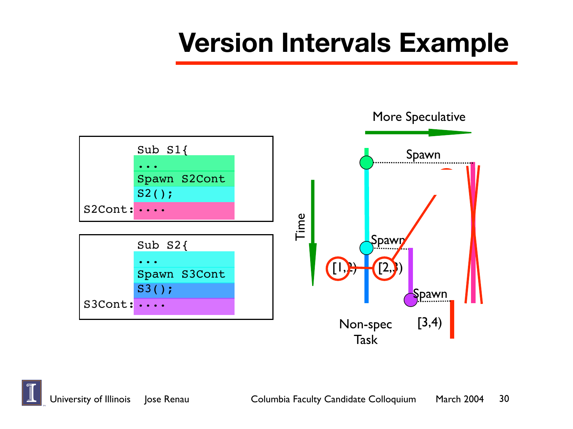#### **Version Intervals Example**

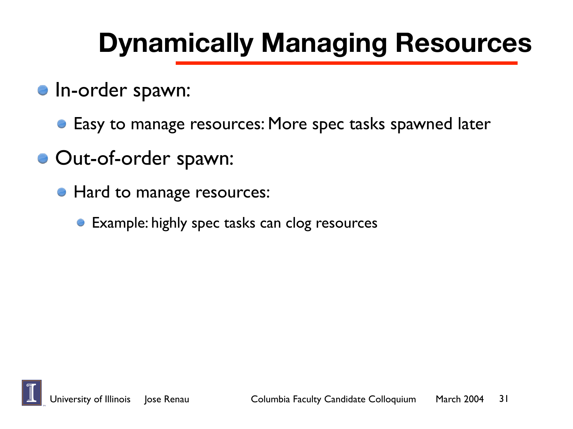#### **Dynamically Managing Resources**

- **In-order spawn:** 
	- Easy to manage resources: More spec tasks spawned later
- Out-of-order spawn:
	- Hard to manage resources:
		- **Example: highly spec tasks can clog resources**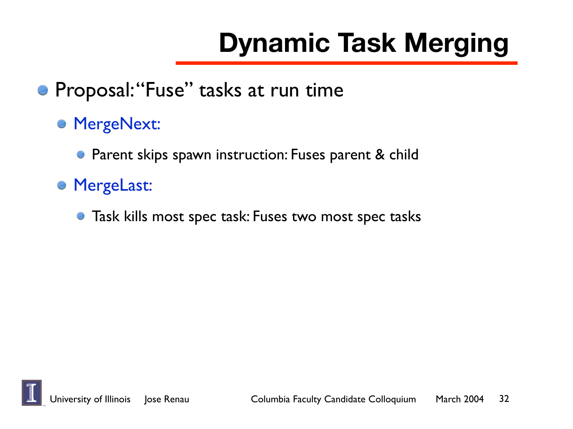# **Dynamic Task Merging**

- **Proposal: "Fuse" tasks at run time** 
	- **MergeNext:** 
		- **Parent skips spawn instruction: Fuses parent & child**
	- MergeLast:
		- Task kills most spec task: Fuses two most spec tasks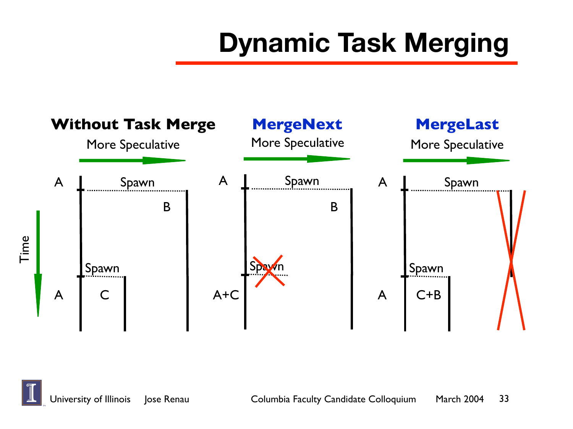### **Dynamic Task Merging**



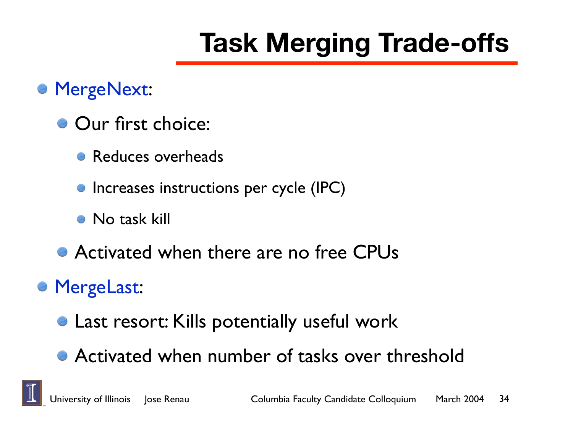## **Task Merging Trade-offs**

#### MergeNext:

- **Our first choice:** 
	- Reduces overheads
	- **Increases instructions per cycle (IPC)**
	- **No task kill**
- Activated when there are no free CPUs

#### MergeLast:

- **Last resort: Kills potentially useful work**
- Activated when number of tasks over threshold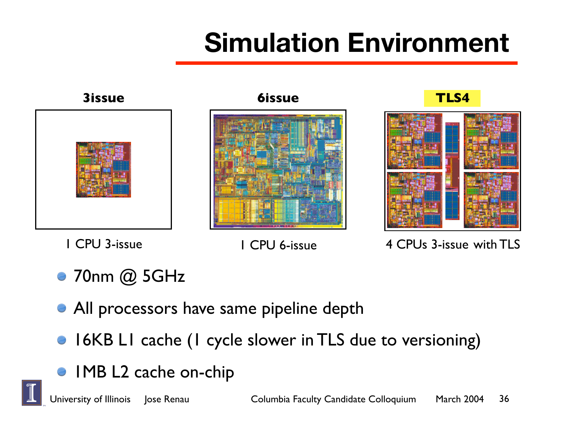### **Simulation Environment**



1 CPU 3-issue 1 CPU 6-issue 4 CPUs 3-issue with TLS

- 70nm @ 5GHz
- **All processors have same pipeline depth**
- 16KB L1 cache (1 cycle slower in TLS due to versioning)
- IMB L2 cache on-chip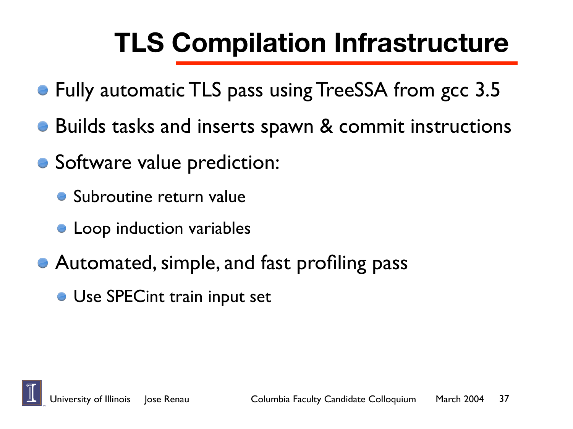### **TLS Compilation Infrastructure**

- Fully automatic TLS pass using TreeSSA from gcc 3.5
- Builds tasks and inserts spawn & commit instructions
- Software value prediction:
	- **Subroutine return value**
	- **Loop induction variables**
- Automated, simple, and fast profiling pass
	- **Use SPECint train input set**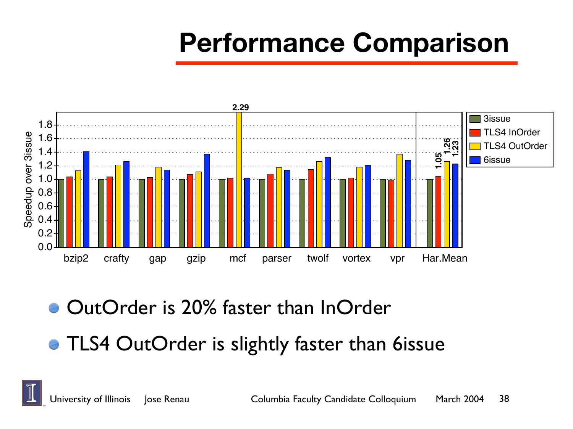#### **Performance Comparison**



OutOrder is 20% faster than InOrder

**• TLS4 OutOrder is slightly faster than 6issue**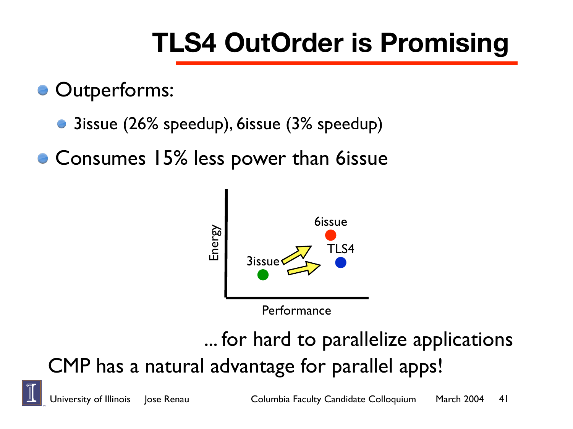### **TLS4 OutOrder is Promising**

Outperforms:

- 3issue (26% speedup), 6issue (3% speedup)
- Consumes 15% less power than 6issue



#### ... for hard to parallelize applications CMP has a natural advantage for parallel apps!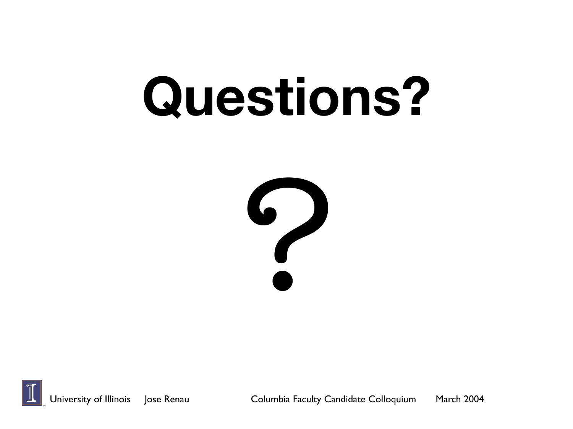# **Questions?**



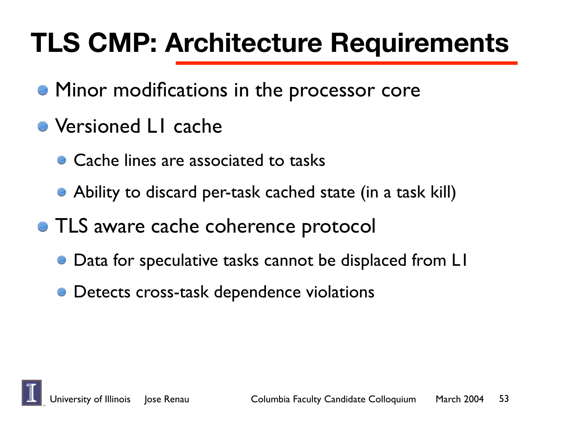#### **TLS CMP: Architecture Requirements**

- **Minor modifications in the processor core**
- Versioned L1 cache
	- **Cache lines are associated to tasks**
	- Ability to discard per-task cached state (in a task kill)
- **TLS aware cache coherence protocol** 
	- Data for speculative tasks cannot be displaced from LI
	- Detects cross-task dependence violations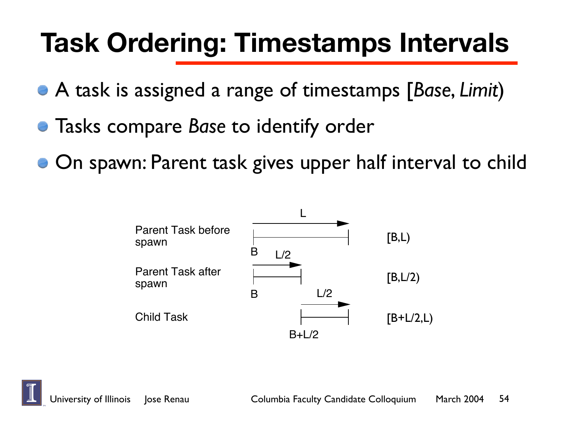#### **Task Ordering: Timestamps Intervals**

- A task is assigned a range of timestamps [Base, Limit)
- Tasks compare *Base* to identify order A task to the past to the times of the times of the times of the times of the times of the times of the times  $\frac{1}{2}$
- On spawn: Parent task gives upper half interval to child



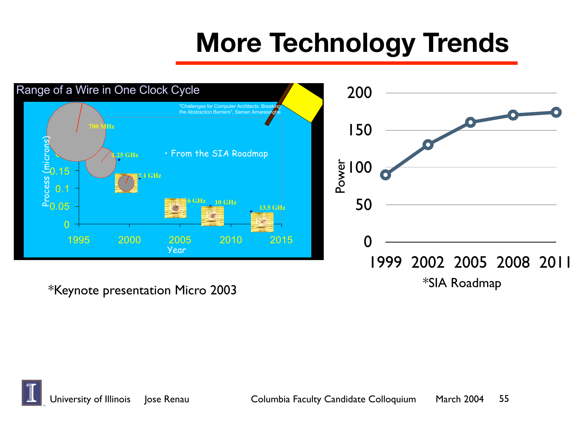#### **More Technology Trends**



**36th International Symposium on Microarchitecture 3 December, 2003** @2003 IBM Corporation \*Keynote presentation Micro 2003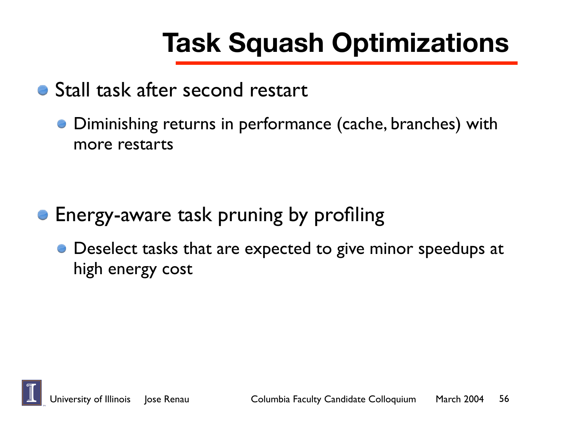## **Task Squash Optimizations**

- Stall task after second restart
	- Diminishing returns in performance (cache, branches) with more restarts

- **Energy-aware task pruning by profiling** 
	- Deselect tasks that are expected to give minor speedups at high energy cost

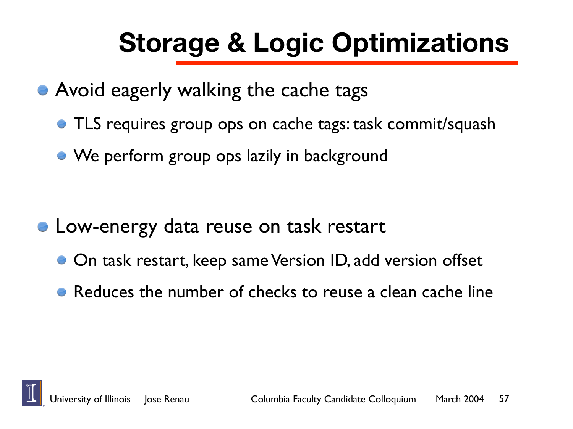### **Storage & Logic Optimizations**

- **Avoid eagerly walking the cache tags** 
	- **TLS requires group ops on cache tags: task commit/squash**
	- We perform group ops lazily in background

- **E** Low-energy data reuse on task restart
	- On task restart, keep same Version ID, add version offset
	- Reduces the number of checks to reuse a clean cache line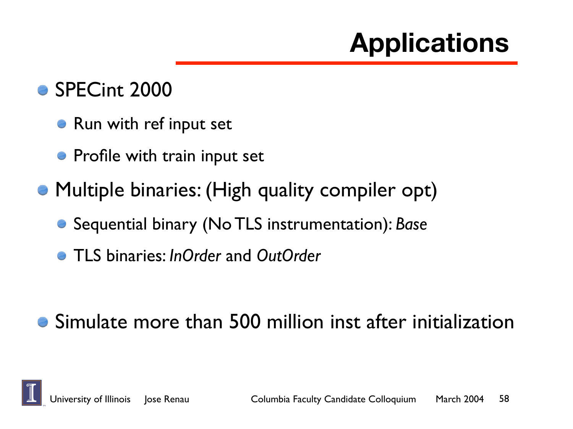### **Applications**

#### • SPECint 2000

- Run with ref input set
- Profile with train input set
- Multiple binaries: (High quality compiler opt)
	- Sequential binary (No TLS instrumentation): *Base*
	- TLS binaries: *InOrder* and *OutOrder*

#### Simulate more than 500 million inst after initialization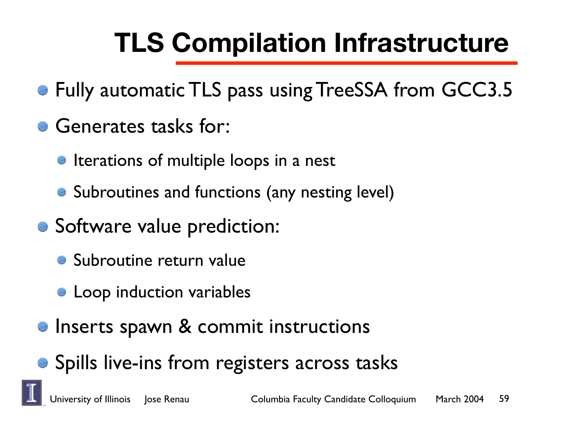## **TLS Compilation Infrastructure**

- Fully automatic TLS pass using TreeSSA from GCC3.5
- Generates tasks for:
	- **Iterations of multiple loops in a nest**
	- Subroutines and functions (any nesting level)
- Software value prediction:
	- **Subroutine return value**
	- **Loop induction variables**
- **Inserts spawn & commit instructions**
- Spills live-ins from registers across tasks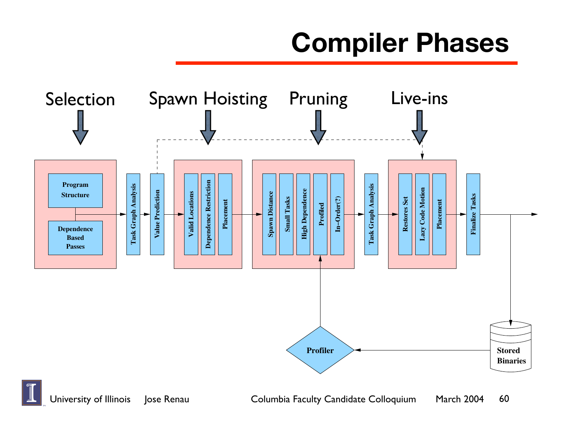#### **Compiler Phases**

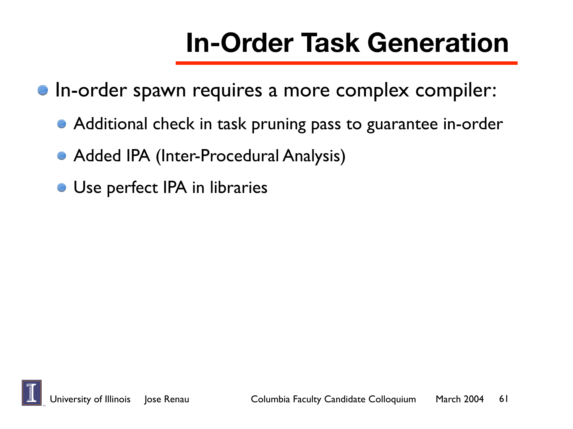#### **In-Order Task Generation**

- **In-order spawn requires a more complex compiler:** 
	- Additional check in task pruning pass to guarantee in-order
	- Added IPA (Inter-Procedural Analysis)
	- Use perfect IPA in libraries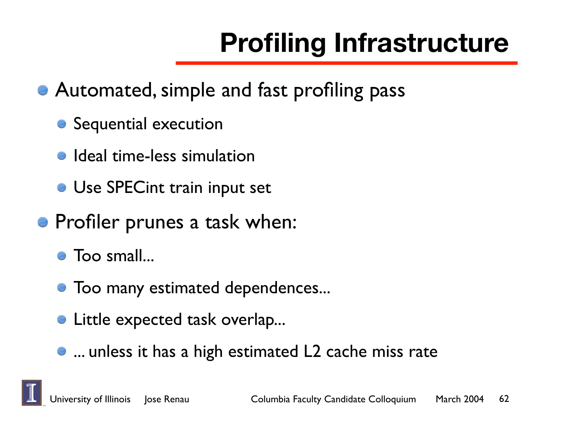# **Profiling Infrastructure**

- Automated, simple and fast profiling pass
	- Sequential execution
	- **•** Ideal time-less simulation
	- Use SPECint train input set
- **Profiler prunes a task when:** 
	- Too small...
	- Too many estimated dependences...
	- **Little expected task overlap...**
	- ... unless it has a high estimated L2 cache miss rate